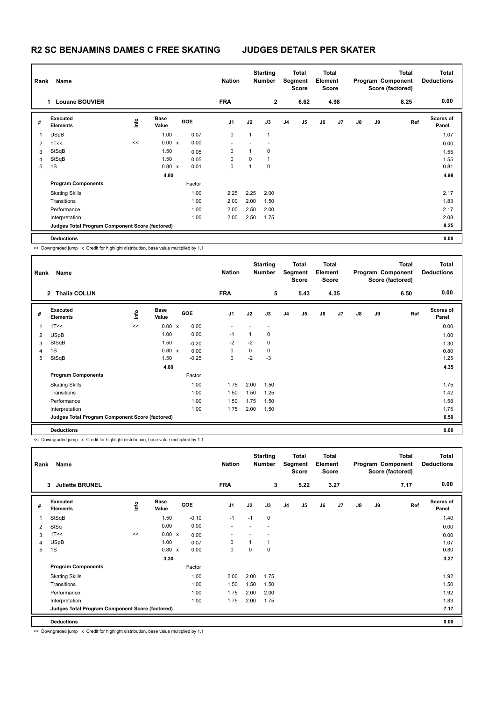## **R2 SC BENJAMINS DAMES C FREE SKATING JUDGES DETAILS PER SKATER**

|   | Name<br>Rank                                    |      |                      |              | <b>Nation</b> | <b>Starting</b><br><b>Number</b> |              |                | Total<br><b>Total</b><br>Segment<br>Element<br><b>Score</b><br><b>Score</b> |      |    |      |               | <b>Total</b><br>Program Component<br>Score (factored) | <b>Total</b><br><b>Deductions</b> |                    |
|---|-------------------------------------------------|------|----------------------|--------------|---------------|----------------------------------|--------------|----------------|-----------------------------------------------------------------------------|------|----|------|---------------|-------------------------------------------------------|-----------------------------------|--------------------|
|   | <b>Louane BOUVIER</b><br>1                      |      |                      |              |               | <b>FRA</b>                       |              | $\overline{2}$ |                                                                             | 6.62 |    | 4.98 |               |                                                       | 8.25                              | 0.00               |
| # | Executed<br><b>Elements</b>                     | lnfo | <b>Base</b><br>Value |              | <b>GOE</b>    | J <sub>1</sub>                   | J2           | J3             | J <sub>4</sub>                                                              | J5   | J6 | J7   | $\mathsf{J}8$ | J9                                                    | Ref                               | Scores of<br>Panel |
| 1 | <b>USpB</b>                                     |      | 1.00                 |              | 0.07          | $\mathbf 0$                      | $\mathbf{1}$ | $\overline{1}$ |                                                                             |      |    |      |               |                                                       |                                   | 1.07               |
| 2 | 1T<<                                            | <<   | 0.00                 | $\mathbf{x}$ | 0.00          | $\overline{\phantom{a}}$         |              |                |                                                                             |      |    |      |               |                                                       |                                   | 0.00               |
| 3 | StSqB                                           |      | 1.50                 |              | 0.05          | 0                                | 1            | $\mathbf 0$    |                                                                             |      |    |      |               |                                                       |                                   | 1.55               |
| 4 | StSqB                                           |      | 1.50                 |              | 0.05          | 0                                | 0            | $\overline{1}$ |                                                                             |      |    |      |               |                                                       |                                   | 1.55               |
| 5 | 1S                                              |      | $0.80 \times$        |              | 0.01          | 0                                | 1            | $\mathbf 0$    |                                                                             |      |    |      |               |                                                       |                                   | 0.81               |
|   |                                                 |      | 4.80                 |              |               |                                  |              |                |                                                                             |      |    |      |               |                                                       |                                   | 4.98               |
|   | <b>Program Components</b>                       |      |                      |              | Factor        |                                  |              |                |                                                                             |      |    |      |               |                                                       |                                   |                    |
|   | <b>Skating Skills</b>                           |      |                      |              | 1.00          | 2.25                             | 2.25         | 2.00           |                                                                             |      |    |      |               |                                                       |                                   | 2.17               |
|   | Transitions                                     |      |                      |              | 1.00          | 2.00                             | 2.00         | 1.50           |                                                                             |      |    |      |               |                                                       |                                   | 1.83               |
|   | Performance                                     |      |                      |              | 1.00          | 2.00                             | 2.50         | 2.00           |                                                                             |      |    |      |               |                                                       |                                   | 2.17               |
|   | Interpretation                                  |      |                      |              | 1.00          | 2.00                             | 2.50         | 1.75           |                                                                             |      |    |      |               |                                                       |                                   | 2.08               |
|   | Judges Total Program Component Score (factored) |      |                      |              |               |                                  |              |                |                                                                             |      |    |      |               |                                                       |                                   | 8.25               |
|   | <b>Deductions</b>                               |      |                      |              |               |                                  |              |                |                                                                             |      |    |      |               |                                                       |                                   | 0.00               |

<< Downgraded jump x Credit for highlight distribution, base value multiplied by 1.1

| Name<br>Rank |                                                 |       |                      | <b>Nation</b> | <b>Starting</b><br><b>Number</b> |      |             | Total<br>Segment<br><b>Score</b> |      | <b>Total</b><br>Element<br><b>Score</b> |      |               | <b>Total</b><br>Program Component<br>Score (factored) | <b>Total</b><br><b>Deductions</b> |                    |
|--------------|-------------------------------------------------|-------|----------------------|---------------|----------------------------------|------|-------------|----------------------------------|------|-----------------------------------------|------|---------------|-------------------------------------------------------|-----------------------------------|--------------------|
|              | <b>Thalia COLLIN</b><br>$\mathbf{2}$            |       |                      |               | <b>FRA</b>                       |      | 5           |                                  | 5.43 |                                         | 4.35 |               |                                                       | 6.50                              | 0.00               |
| #            | Executed<br><b>Elements</b>                     | e     | <b>Base</b><br>Value | <b>GOE</b>    | J <sub>1</sub>                   | J2   | J3          | J <sub>4</sub>                   | J5   | J6                                      | J7   | $\mathsf{J}8$ | J9                                                    | Ref                               | Scores of<br>Panel |
| 1            | 1T<<                                            | $\,<$ | $0.00 \times$        | 0.00          |                                  |      |             |                                  |      |                                         |      |               |                                                       |                                   | 0.00               |
| 2            | <b>USpB</b>                                     |       | 1.00                 | 0.00          | $-1$                             | 1    | 0           |                                  |      |                                         |      |               |                                                       |                                   | 1.00               |
| 3            | StSqB                                           |       | 1.50                 | $-0.20$       | $-2$                             | $-2$ | 0           |                                  |      |                                         |      |               |                                                       |                                   | 1.30               |
| 4            | 1S                                              |       | $0.80 \times$        | 0.00          | 0                                | 0    | $\mathbf 0$ |                                  |      |                                         |      |               |                                                       |                                   | 0.80               |
| 5            | StSqB                                           |       | 1.50                 | $-0.25$       | 0                                | $-2$ | $-3$        |                                  |      |                                         |      |               |                                                       |                                   | 1.25               |
|              |                                                 |       | 4.80                 |               |                                  |      |             |                                  |      |                                         |      |               |                                                       |                                   | 4.35               |
|              | <b>Program Components</b>                       |       |                      | Factor        |                                  |      |             |                                  |      |                                         |      |               |                                                       |                                   |                    |
|              | <b>Skating Skills</b>                           |       |                      | 1.00          | 1.75                             | 2.00 | 1.50        |                                  |      |                                         |      |               |                                                       |                                   | 1.75               |
|              | Transitions                                     |       |                      | 1.00          | 1.50                             | 1.50 | 1.25        |                                  |      |                                         |      |               |                                                       |                                   | 1.42               |
|              | Performance                                     |       |                      | 1.00          | 1.50                             | 1.75 | 1.50        |                                  |      |                                         |      |               |                                                       |                                   | 1.58               |
|              | Interpretation                                  |       |                      | 1.00          | 1.75                             | 2.00 | 1.50        |                                  |      |                                         |      |               |                                                       |                                   | 1.75               |
|              | Judges Total Program Component Score (factored) |       |                      |               |                                  |      |             |                                  |      |                                         |      |               |                                                       |                                   | 6.50               |
|              | <b>Deductions</b>                               |       |                      |               |                                  |      |             |                                  |      |                                         |      |               |                                                       |                                   | 0.00               |

<< Downgraded jump x Credit for highlight distribution, base value multiplied by 1.1

| Name<br>Rank   |                                                 |      |                      |            |                | <b>Starting</b><br><b>Nation</b><br><b>Number</b> |                          | <b>Total</b><br>Segment<br><b>Score</b> |      | <b>Total</b><br>Element<br><b>Score</b> |      |    |    | <b>Total</b><br>Program Component<br>Score (factored) | <b>Total</b><br><b>Deductions</b> |
|----------------|-------------------------------------------------|------|----------------------|------------|----------------|---------------------------------------------------|--------------------------|-----------------------------------------|------|-----------------------------------------|------|----|----|-------------------------------------------------------|-----------------------------------|
|                | <b>Juliette BRUNEL</b><br>3                     |      |                      |            | <b>FRA</b>     |                                                   | 3                        |                                         | 5.22 |                                         | 3.27 |    |    | 7.17                                                  | 0.00                              |
| #              | Executed<br><b>Elements</b>                     | lnfo | <b>Base</b><br>Value | <b>GOE</b> | J <sub>1</sub> | J2                                                | J3                       | J <sub>4</sub>                          | J5   | J6                                      | J7   | J8 | J9 | Ref                                                   | Scores of<br>Panel                |
| 1              | StSqB                                           |      | 1.50                 | $-0.10$    | $-1$           | $-1$                                              | $\mathbf 0$              |                                         |      |                                         |      |    |    |                                                       | 1.40                              |
| $\overline{2}$ | StSq                                            |      | 0.00                 | 0.00       |                |                                                   | $\overline{\phantom{a}}$ |                                         |      |                                         |      |    |    |                                                       | 0.00                              |
| 3              | 1T<<                                            | <<   | 0.00 x               | 0.00       | ٠              |                                                   |                          |                                         |      |                                         |      |    |    |                                                       | 0.00                              |
| $\overline{4}$ | <b>USpB</b>                                     |      | 1.00                 | 0.07       | 0              | 1                                                 | $\mathbf{1}$             |                                         |      |                                         |      |    |    |                                                       | 1.07                              |
| 5              | 1S                                              |      | 0.80 x               | 0.00       | 0              | 0                                                 | $\mathbf 0$              |                                         |      |                                         |      |    |    |                                                       | 0.80                              |
|                |                                                 |      | 3.30                 |            |                |                                                   |                          |                                         |      |                                         |      |    |    |                                                       | 3.27                              |
|                | <b>Program Components</b>                       |      |                      | Factor     |                |                                                   |                          |                                         |      |                                         |      |    |    |                                                       |                                   |
|                | <b>Skating Skills</b>                           |      |                      | 1.00       | 2.00           | 2.00                                              | 1.75                     |                                         |      |                                         |      |    |    |                                                       | 1.92                              |
|                | Transitions                                     |      |                      | 1.00       | 1.50           | 1.50                                              | 1.50                     |                                         |      |                                         |      |    |    |                                                       | 1.50                              |
|                | Performance                                     |      |                      | 1.00       | 1.75           | 2.00                                              | 2.00                     |                                         |      |                                         |      |    |    |                                                       | 1.92                              |
|                | Interpretation                                  |      |                      | 1.00       | 1.75           | 2.00                                              | 1.75                     |                                         |      |                                         |      |    |    |                                                       | 1.83                              |
|                | Judges Total Program Component Score (factored) |      |                      |            |                |                                                   |                          |                                         |      |                                         |      |    |    |                                                       | 7.17                              |
|                | <b>Deductions</b>                               |      |                      |            |                |                                                   |                          |                                         |      |                                         |      |    |    |                                                       | 0.00                              |

<< Downgraded jump x Credit for highlight distribution, base value multiplied by 1.1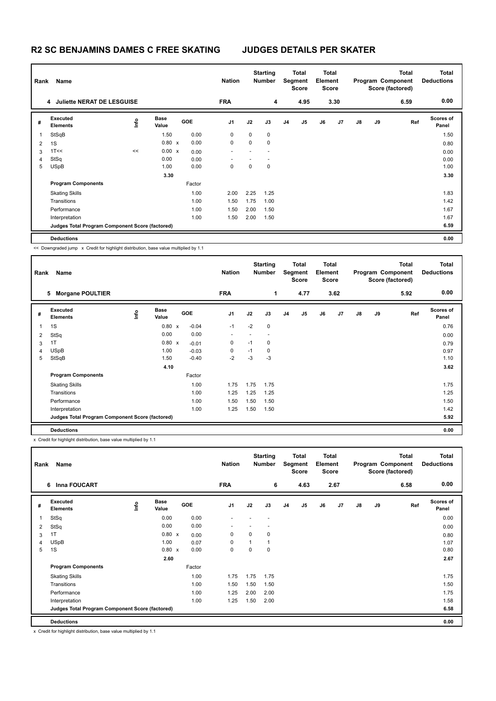## **R2 SC BENJAMINS DAMES C FREE SKATING JUDGES DETAILS PER SKATER**

| Name<br>Rank   |                                                 |    |                      |  |            | <b>Nation</b> | <b>Starting</b><br><b>Number</b> |             | Total<br>Segment<br><b>Score</b> |                | <b>Total</b><br>Element<br><b>Score</b> |                | Program Component<br>Score (factored) |    | <b>Total</b> | Total<br><b>Deductions</b> |
|----------------|-------------------------------------------------|----|----------------------|--|------------|---------------|----------------------------------|-------------|----------------------------------|----------------|-----------------------------------------|----------------|---------------------------------------|----|--------------|----------------------------|
|                | 4 Juliette NERAT DE LESGUISE                    |    |                      |  |            | <b>FRA</b>    |                                  | 4           |                                  | 4.95           |                                         | 3.30           |                                       |    | 6.59         | 0.00                       |
| #              | Executed<br><b>Elements</b>                     | ۴۵ | <b>Base</b><br>Value |  | <b>GOE</b> | J1            | J2                               | J3          | J <sub>4</sub>                   | J <sub>5</sub> | J6                                      | J <sub>7</sub> | $\mathsf{J}8$                         | J9 | Ref          | Scores of<br>Panel         |
| 1              | StSqB                                           |    | 1.50                 |  | 0.00       | 0             | 0                                | $\mathbf 0$ |                                  |                |                                         |                |                                       |    |              | 1.50                       |
| $\overline{2}$ | 1S                                              |    | 0.80 x               |  | 0.00       | 0             | 0                                | $\mathbf 0$ |                                  |                |                                         |                |                                       |    |              | 0.80                       |
| 3              | 1T<<                                            | << | 0.00 x               |  | 0.00       |               |                                  |             |                                  |                |                                         |                |                                       |    |              | 0.00                       |
| $\overline{4}$ | StSq                                            |    | 0.00                 |  | 0.00       |               |                                  |             |                                  |                |                                         |                |                                       |    |              | 0.00                       |
| 5              | <b>USpB</b>                                     |    | 1.00                 |  | 0.00       | 0             | 0                                | 0           |                                  |                |                                         |                |                                       |    |              | 1.00                       |
|                |                                                 |    | 3.30                 |  |            |               |                                  |             |                                  |                |                                         |                |                                       |    |              | 3.30                       |
|                | <b>Program Components</b>                       |    |                      |  | Factor     |               |                                  |             |                                  |                |                                         |                |                                       |    |              |                            |
|                | <b>Skating Skills</b>                           |    |                      |  | 1.00       | 2.00          | 2.25                             | 1.25        |                                  |                |                                         |                |                                       |    |              | 1.83                       |
|                | Transitions                                     |    |                      |  | 1.00       | 1.50          | 1.75                             | 1.00        |                                  |                |                                         |                |                                       |    |              | 1.42                       |
|                | Performance                                     |    |                      |  | 1.00       | 1.50          | 2.00                             | 1.50        |                                  |                |                                         |                |                                       |    |              | 1.67                       |
|                | Interpretation                                  |    |                      |  | 1.00       | 1.50          | 2.00                             | 1.50        |                                  |                |                                         |                |                                       |    |              | 1.67                       |
|                | Judges Total Program Component Score (factored) |    |                      |  |            |               |                                  |             |                                  |                |                                         |                |                                       |    |              | 6.59                       |
|                | <b>Deductions</b>                               |    |                      |  |            |               |                                  |             |                                  |                |                                         |                |                                       |    |              | 0.00                       |

<< Downgraded jump x Credit for highlight distribution, base value multiplied by 1.1

| Rank | Name                                            |      |                      |            | <b>Nation</b>            |      | <b>Starting</b><br><b>Number</b> |                | Total<br>Segment<br><b>Score</b> | <b>Total</b><br>Element<br><b>Score</b> |      |               |    | <b>Total</b><br>Program Component<br>Score (factored) | <b>Total</b><br><b>Deductions</b> |
|------|-------------------------------------------------|------|----------------------|------------|--------------------------|------|----------------------------------|----------------|----------------------------------|-----------------------------------------|------|---------------|----|-------------------------------------------------------|-----------------------------------|
|      | <b>Morgane POULTIER</b><br>5                    |      |                      |            | <b>FRA</b>               |      | 1                                |                | 4.77                             |                                         | 3.62 |               |    | 5.92                                                  | 0.00                              |
| #    | Executed<br><b>Elements</b>                     | ١nf٥ | <b>Base</b><br>Value | <b>GOE</b> | J <sub>1</sub>           | J2   | J3                               | J <sub>4</sub> | J5                               | J6                                      | J7   | $\mathsf{J}8$ | J9 | Ref                                                   | <b>Scores of</b><br>Panel         |
|      | 1S                                              |      | 0.80 x               | $-0.04$    | $-1$                     | $-2$ | $\pmb{0}$                        |                |                                  |                                         |      |               |    |                                                       | 0.76                              |
| 2    | StSq                                            |      | 0.00                 | 0.00       | $\overline{\phantom{a}}$ |      |                                  |                |                                  |                                         |      |               |    |                                                       | 0.00                              |
| 3    | 1T                                              |      | 0.80 x               | $-0.01$    | 0                        | $-1$ | 0                                |                |                                  |                                         |      |               |    |                                                       | 0.79                              |
| 4    | <b>USpB</b>                                     |      | 1.00                 | $-0.03$    | 0                        | $-1$ | 0                                |                |                                  |                                         |      |               |    |                                                       | 0.97                              |
| 5    | StSqB                                           |      | 1.50                 | $-0.40$    | $-2$                     | $-3$ | $-3$                             |                |                                  |                                         |      |               |    |                                                       | 1.10                              |
|      |                                                 |      | 4.10                 |            |                          |      |                                  |                |                                  |                                         |      |               |    |                                                       | 3.62                              |
|      | <b>Program Components</b>                       |      |                      | Factor     |                          |      |                                  |                |                                  |                                         |      |               |    |                                                       |                                   |
|      | <b>Skating Skills</b>                           |      |                      | 1.00       | 1.75                     | 1.75 | 1.75                             |                |                                  |                                         |      |               |    |                                                       | 1.75                              |
|      | Transitions                                     |      |                      | 1.00       | 1.25                     | 1.25 | 1.25                             |                |                                  |                                         |      |               |    |                                                       | 1.25                              |
|      | Performance                                     |      |                      | 1.00       | 1.50                     | 1.50 | 1.50                             |                |                                  |                                         |      |               |    |                                                       | 1.50                              |
|      | Interpretation                                  |      |                      | 1.00       | 1.25                     | 1.50 | 1.50                             |                |                                  |                                         |      |               |    |                                                       | 1.42                              |
|      | Judges Total Program Component Score (factored) |      |                      |            |                          |      |                                  |                |                                  |                                         |      |               |    |                                                       | 5.92                              |
|      | <b>Deductions</b>                               |      |                      |            |                          |      |                                  |                |                                  |                                         |      |               |    |                                                       | 0.00                              |

x Credit for highlight distribution, base value multiplied by 1.1

| Name<br>Rank   |                                                 |      |                      |  |        | <b>Nation</b>  | <b>Starting</b><br><b>Number</b> |             | <b>Total</b><br>Segment<br><b>Score</b> |      | <b>Total</b><br>Element<br><b>Score</b> |      | Program Component |    | <b>Total</b><br>Score (factored) | <b>Total</b><br><b>Deductions</b> |
|----------------|-------------------------------------------------|------|----------------------|--|--------|----------------|----------------------------------|-------------|-----------------------------------------|------|-----------------------------------------|------|-------------------|----|----------------------------------|-----------------------------------|
|                | <b>Inna FOUCART</b><br>6                        |      |                      |  |        | <b>FRA</b>     |                                  | 6           |                                         | 4.63 |                                         | 2.67 |                   |    | 6.58                             | 0.00                              |
| #              | <b>Executed</b><br><b>Elements</b>              | Lind | <b>Base</b><br>Value |  | GOE    | J1             | J2                               | J3          | J <sub>4</sub>                          | J5   | J6                                      | J7   | $\mathsf{J}8$     | J9 | Ref                              | Scores of<br>Panel                |
| 1              | StSq                                            |      | 0.00                 |  | 0.00   | $\overline{a}$ |                                  | ٠           |                                         |      |                                         |      |                   |    |                                  | 0.00                              |
| $\overline{2}$ | StSq                                            |      | 0.00                 |  | 0.00   |                |                                  |             |                                         |      |                                         |      |                   |    |                                  | 0.00                              |
| 3              | 1T                                              |      | $0.80 \times$        |  | 0.00   | 0              | 0                                | $\mathbf 0$ |                                         |      |                                         |      |                   |    |                                  | 0.80                              |
| $\overline{4}$ | <b>USpB</b>                                     |      | 1.00                 |  | 0.07   | 0              | $\mathbf{1}$                     |             |                                         |      |                                         |      |                   |    |                                  | 1.07                              |
| 5              | 1S                                              |      | $0.80 \times$        |  | 0.00   | 0              | 0                                | $\mathbf 0$ |                                         |      |                                         |      |                   |    |                                  | 0.80                              |
|                |                                                 |      | 2.60                 |  |        |                |                                  |             |                                         |      |                                         |      |                   |    |                                  | 2.67                              |
|                | <b>Program Components</b>                       |      |                      |  | Factor |                |                                  |             |                                         |      |                                         |      |                   |    |                                  |                                   |
|                | <b>Skating Skills</b>                           |      |                      |  | 1.00   | 1.75           | 1.75                             | 1.75        |                                         |      |                                         |      |                   |    |                                  | 1.75                              |
|                | Transitions                                     |      |                      |  | 1.00   | 1.50           | 1.50                             | 1.50        |                                         |      |                                         |      |                   |    |                                  | 1.50                              |
|                | Performance                                     |      |                      |  | 1.00   | 1.25           | 2.00                             | 2.00        |                                         |      |                                         |      |                   |    |                                  | 1.75                              |
|                | Interpretation                                  |      |                      |  | 1.00   | 1.25           | 1.50                             | 2.00        |                                         |      |                                         |      |                   |    |                                  | 1.58                              |
|                | Judges Total Program Component Score (factored) |      |                      |  |        |                |                                  |             |                                         |      |                                         |      |                   |    |                                  | 6.58                              |
|                | <b>Deductions</b>                               |      |                      |  |        |                |                                  |             |                                         |      |                                         |      |                   |    |                                  | 0.00                              |

x Credit for highlight distribution, base value multiplied by 1.1